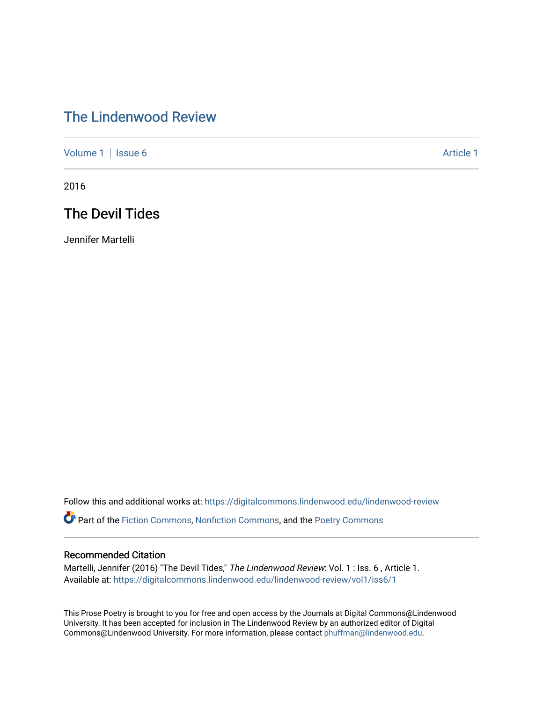## [The Lindenwood Review](https://digitalcommons.lindenwood.edu/lindenwood-review)

[Volume 1](https://digitalcommons.lindenwood.edu/lindenwood-review/vol1) | [Issue 6](https://digitalcommons.lindenwood.edu/lindenwood-review/vol1/iss6) Article 1

2016

## The Devil Tides

Jennifer Martelli

Follow this and additional works at: [https://digitalcommons.lindenwood.edu/lindenwood-review](https://digitalcommons.lindenwood.edu/lindenwood-review?utm_source=digitalcommons.lindenwood.edu%2Flindenwood-review%2Fvol1%2Fiss6%2F1&utm_medium=PDF&utm_campaign=PDFCoverPages)

Part of the [Fiction Commons,](http://network.bepress.com/hgg/discipline/1151?utm_source=digitalcommons.lindenwood.edu%2Flindenwood-review%2Fvol1%2Fiss6%2F1&utm_medium=PDF&utm_campaign=PDFCoverPages) [Nonfiction Commons](http://network.bepress.com/hgg/discipline/1152?utm_source=digitalcommons.lindenwood.edu%2Flindenwood-review%2Fvol1%2Fiss6%2F1&utm_medium=PDF&utm_campaign=PDFCoverPages), and the [Poetry Commons](http://network.bepress.com/hgg/discipline/1153?utm_source=digitalcommons.lindenwood.edu%2Flindenwood-review%2Fvol1%2Fiss6%2F1&utm_medium=PDF&utm_campaign=PDFCoverPages)

## Recommended Citation

Martelli, Jennifer (2016) "The Devil Tides," The Lindenwood Review: Vol. 1 : Iss. 6, Article 1. Available at: [https://digitalcommons.lindenwood.edu/lindenwood-review/vol1/iss6/1](https://digitalcommons.lindenwood.edu/lindenwood-review/vol1/iss6/1?utm_source=digitalcommons.lindenwood.edu%2Flindenwood-review%2Fvol1%2Fiss6%2F1&utm_medium=PDF&utm_campaign=PDFCoverPages)

This Prose Poetry is brought to you for free and open access by the Journals at Digital Commons@Lindenwood University. It has been accepted for inclusion in The Lindenwood Review by an authorized editor of Digital Commons@Lindenwood University. For more information, please contact [phuffman@lindenwood.edu](mailto:phuffman@lindenwood.edu).